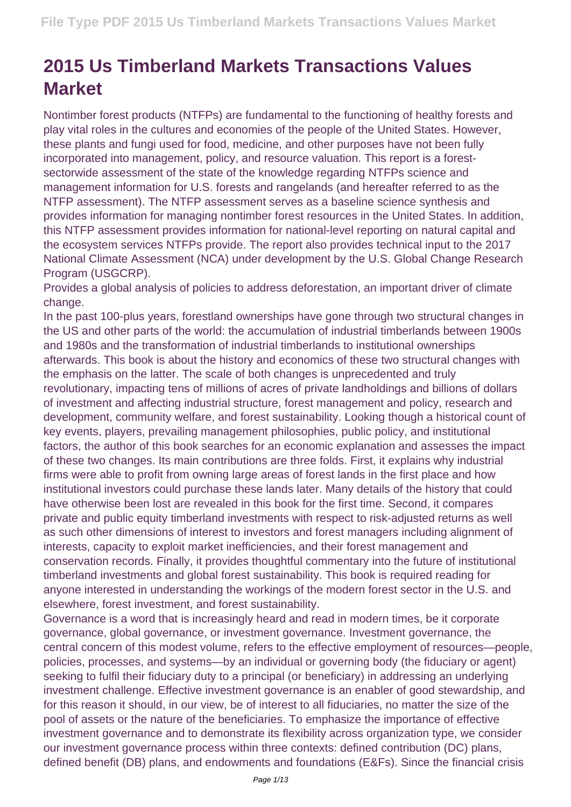## **2015 Us Timberland Markets Transactions Values Market**

Nontimber forest products (NTFPs) are fundamental to the functioning of healthy forests and play vital roles in the cultures and economies of the people of the United States. However, these plants and fungi used for food, medicine, and other purposes have not been fully incorporated into management, policy, and resource valuation. This report is a forestsectorwide assessment of the state of the knowledge regarding NTFPs science and management information for U.S. forests and rangelands (and hereafter referred to as the NTFP assessment). The NTFP assessment serves as a baseline science synthesis and provides information for managing nontimber forest resources in the United States. In addition, this NTFP assessment provides information for national-level reporting on natural capital and the ecosystem services NTFPs provide. The report also provides technical input to the 2017 National Climate Assessment (NCA) under development by the U.S. Global Change Research Program (USGCRP).

Provides a global analysis of policies to address deforestation, an important driver of climate change.

In the past 100-plus years, forestland ownerships have gone through two structural changes in the US and other parts of the world: the accumulation of industrial timberlands between 1900s and 1980s and the transformation of industrial timberlands to institutional ownerships afterwards. This book is about the history and economics of these two structural changes with the emphasis on the latter. The scale of both changes is unprecedented and truly revolutionary, impacting tens of millions of acres of private landholdings and billions of dollars of investment and affecting industrial structure, forest management and policy, research and development, community welfare, and forest sustainability. Looking though a historical count of key events, players, prevailing management philosophies, public policy, and institutional factors, the author of this book searches for an economic explanation and assesses the impact of these two changes. Its main contributions are three folds. First, it explains why industrial firms were able to profit from owning large areas of forest lands in the first place and how institutional investors could purchase these lands later. Many details of the history that could have otherwise been lost are revealed in this book for the first time. Second, it compares private and public equity timberland investments with respect to risk-adjusted returns as well as such other dimensions of interest to investors and forest managers including alignment of interests, capacity to exploit market inefficiencies, and their forest management and conservation records. Finally, it provides thoughtful commentary into the future of institutional timberland investments and global forest sustainability. This book is required reading for anyone interested in understanding the workings of the modern forest sector in the U.S. and elsewhere, forest investment, and forest sustainability.

Governance is a word that is increasingly heard and read in modern times, be it corporate governance, global governance, or investment governance. Investment governance, the central concern of this modest volume, refers to the effective employment of resources—people, policies, processes, and systems—by an individual or governing body (the fiduciary or agent) seeking to fulfil their fiduciary duty to a principal (or beneficiary) in addressing an underlying investment challenge. Effective investment governance is an enabler of good stewardship, and for this reason it should, in our view, be of interest to all fiduciaries, no matter the size of the pool of assets or the nature of the beneficiaries. To emphasize the importance of effective investment governance and to demonstrate its flexibility across organization type, we consider our investment governance process within three contexts: defined contribution (DC) plans, defined benefit (DB) plans, and endowments and foundations (E&Fs). Since the financial crisis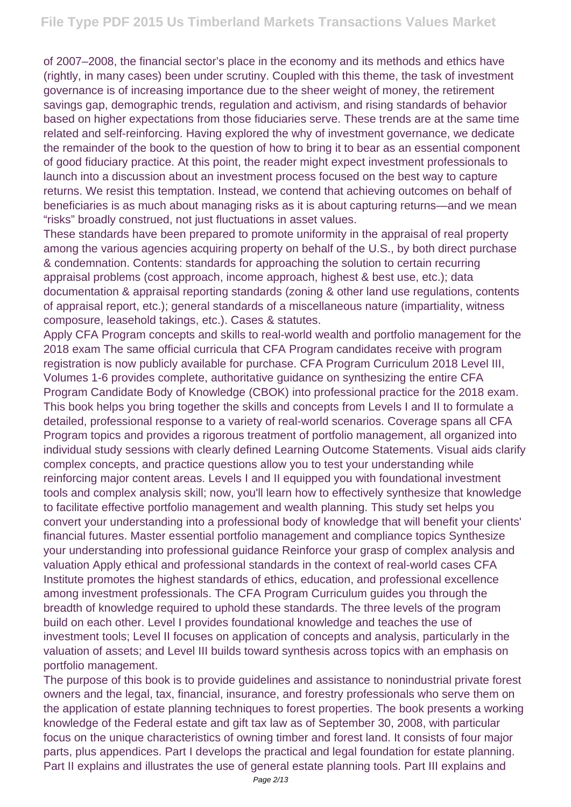of 2007–2008, the financial sector's place in the economy and its methods and ethics have (rightly, in many cases) been under scrutiny. Coupled with this theme, the task of investment governance is of increasing importance due to the sheer weight of money, the retirement savings gap, demographic trends, regulation and activism, and rising standards of behavior based on higher expectations from those fiduciaries serve. These trends are at the same time related and self-reinforcing. Having explored the why of investment governance, we dedicate the remainder of the book to the question of how to bring it to bear as an essential component of good fiduciary practice. At this point, the reader might expect investment professionals to launch into a discussion about an investment process focused on the best way to capture returns. We resist this temptation. Instead, we contend that achieving outcomes on behalf of beneficiaries is as much about managing risks as it is about capturing returns—and we mean "risks" broadly construed, not just fluctuations in asset values.

These standards have been prepared to promote uniformity in the appraisal of real property among the various agencies acquiring property on behalf of the U.S., by both direct purchase & condemnation. Contents: standards for approaching the solution to certain recurring appraisal problems (cost approach, income approach, highest & best use, etc.); data documentation & appraisal reporting standards (zoning & other land use regulations, contents of appraisal report, etc.); general standards of a miscellaneous nature (impartiality, witness composure, leasehold takings, etc.). Cases & statutes.

Apply CFA Program concepts and skills to real-world wealth and portfolio management for the 2018 exam The same official curricula that CFA Program candidates receive with program registration is now publicly available for purchase. CFA Program Curriculum 2018 Level III, Volumes 1-6 provides complete, authoritative guidance on synthesizing the entire CFA Program Candidate Body of Knowledge (CBOK) into professional practice for the 2018 exam. This book helps you bring together the skills and concepts from Levels I and II to formulate a detailed, professional response to a variety of real-world scenarios. Coverage spans all CFA Program topics and provides a rigorous treatment of portfolio management, all organized into individual study sessions with clearly defined Learning Outcome Statements. Visual aids clarify complex concepts, and practice questions allow you to test your understanding while reinforcing major content areas. Levels I and II equipped you with foundational investment tools and complex analysis skill; now, you'll learn how to effectively synthesize that knowledge to facilitate effective portfolio management and wealth planning. This study set helps you convert your understanding into a professional body of knowledge that will benefit your clients' financial futures. Master essential portfolio management and compliance topics Synthesize your understanding into professional guidance Reinforce your grasp of complex analysis and valuation Apply ethical and professional standards in the context of real-world cases CFA Institute promotes the highest standards of ethics, education, and professional excellence among investment professionals. The CFA Program Curriculum guides you through the breadth of knowledge required to uphold these standards. The three levels of the program build on each other. Level I provides foundational knowledge and teaches the use of investment tools; Level II focuses on application of concepts and analysis, particularly in the valuation of assets; and Level III builds toward synthesis across topics with an emphasis on portfolio management.

The purpose of this book is to provide guidelines and assistance to nonindustrial private forest owners and the legal, tax, financial, insurance, and forestry professionals who serve them on the application of estate planning techniques to forest properties. The book presents a working knowledge of the Federal estate and gift tax law as of September 30, 2008, with particular focus on the unique characteristics of owning timber and forest land. It consists of four major parts, plus appendices. Part I develops the practical and legal foundation for estate planning. Part II explains and illustrates the use of general estate planning tools. Part III explains and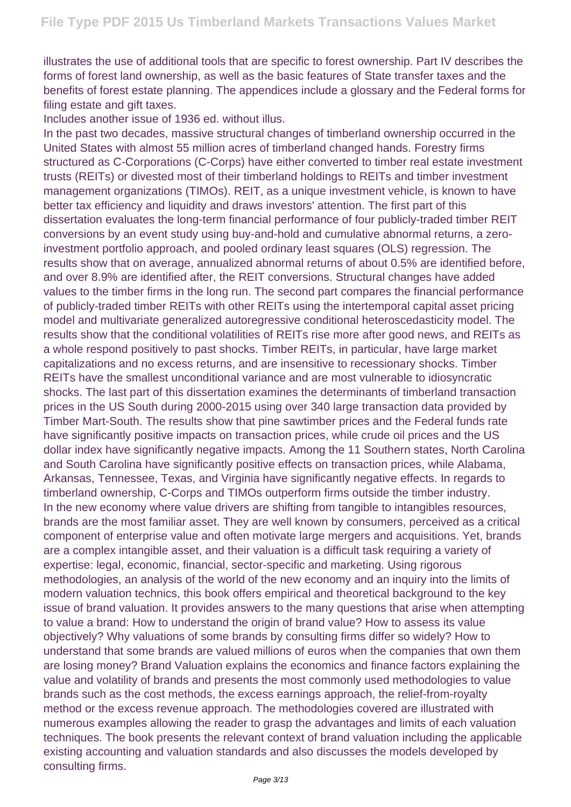illustrates the use of additional tools that are specific to forest ownership. Part IV describes the forms of forest land ownership, as well as the basic features of State transfer taxes and the benefits of forest estate planning. The appendices include a glossary and the Federal forms for filing estate and gift taxes.

Includes another issue of 1936 ed. without illus.

In the past two decades, massive structural changes of timberland ownership occurred in the United States with almost 55 million acres of timberland changed hands. Forestry firms structured as C-Corporations (C-Corps) have either converted to timber real estate investment trusts (REITs) or divested most of their timberland holdings to REITs and timber investment management organizations (TIMOs). REIT, as a unique investment vehicle, is known to have better tax efficiency and liquidity and draws investors' attention. The first part of this dissertation evaluates the long-term financial performance of four publicly-traded timber REIT conversions by an event study using buy-and-hold and cumulative abnormal returns, a zeroinvestment portfolio approach, and pooled ordinary least squares (OLS) regression. The results show that on average, annualized abnormal returns of about 0.5% are identified before, and over 8.9% are identified after, the REIT conversions. Structural changes have added values to the timber firms in the long run. The second part compares the financial performance of publicly-traded timber REITs with other REITs using the intertemporal capital asset pricing model and multivariate generalized autoregressive conditional heteroscedasticity model. The results show that the conditional volatilities of REITs rise more after good news, and REITs as a whole respond positively to past shocks. Timber REITs, in particular, have large market capitalizations and no excess returns, and are insensitive to recessionary shocks. Timber REITs have the smallest unconditional variance and are most vulnerable to idiosyncratic shocks. The last part of this dissertation examines the determinants of timberland transaction prices in the US South during 2000-2015 using over 340 large transaction data provided by Timber Mart-South. The results show that pine sawtimber prices and the Federal funds rate have significantly positive impacts on transaction prices, while crude oil prices and the US dollar index have significantly negative impacts. Among the 11 Southern states, North Carolina and South Carolina have significantly positive effects on transaction prices, while Alabama, Arkansas, Tennessee, Texas, and Virginia have significantly negative effects. In regards to timberland ownership, C-Corps and TIMOs outperform firms outside the timber industry. In the new economy where value drivers are shifting from tangible to intangibles resources, brands are the most familiar asset. They are well known by consumers, perceived as a critical component of enterprise value and often motivate large mergers and acquisitions. Yet, brands are a complex intangible asset, and their valuation is a difficult task requiring a variety of expertise: legal, economic, financial, sector-specific and marketing. Using rigorous methodologies, an analysis of the world of the new economy and an inquiry into the limits of modern valuation technics, this book offers empirical and theoretical background to the key issue of brand valuation. It provides answers to the many questions that arise when attempting to value a brand: How to understand the origin of brand value? How to assess its value objectively? Why valuations of some brands by consulting firms differ so widely? How to understand that some brands are valued millions of euros when the companies that own them are losing money? Brand Valuation explains the economics and finance factors explaining the value and volatility of brands and presents the most commonly used methodologies to value brands such as the cost methods, the excess earnings approach, the relief-from-royalty method or the excess revenue approach. The methodologies covered are illustrated with numerous examples allowing the reader to grasp the advantages and limits of each valuation techniques. The book presents the relevant context of brand valuation including the applicable existing accounting and valuation standards and also discusses the models developed by consulting firms.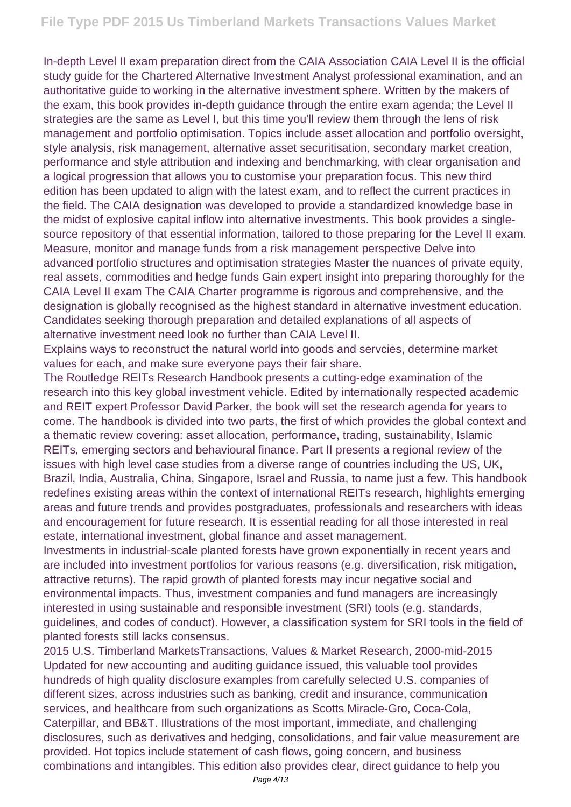In-depth Level II exam preparation direct from the CAIA Association CAIA Level II is the official study guide for the Chartered Alternative Investment Analyst professional examination, and an authoritative guide to working in the alternative investment sphere. Written by the makers of the exam, this book provides in-depth guidance through the entire exam agenda; the Level II strategies are the same as Level I, but this time you'll review them through the lens of risk management and portfolio optimisation. Topics include asset allocation and portfolio oversight, style analysis, risk management, alternative asset securitisation, secondary market creation, performance and style attribution and indexing and benchmarking, with clear organisation and a logical progression that allows you to customise your preparation focus. This new third edition has been updated to align with the latest exam, and to reflect the current practices in the field. The CAIA designation was developed to provide a standardized knowledge base in the midst of explosive capital inflow into alternative investments. This book provides a singlesource repository of that essential information, tailored to those preparing for the Level II exam. Measure, monitor and manage funds from a risk management perspective Delve into advanced portfolio structures and optimisation strategies Master the nuances of private equity, real assets, commodities and hedge funds Gain expert insight into preparing thoroughly for the CAIA Level II exam The CAIA Charter programme is rigorous and comprehensive, and the designation is globally recognised as the highest standard in alternative investment education. Candidates seeking thorough preparation and detailed explanations of all aspects of alternative investment need look no further than CAIA Level II.

Explains ways to reconstruct the natural world into goods and servcies, determine market values for each, and make sure everyone pays their fair share.

The Routledge REITs Research Handbook presents a cutting-edge examination of the research into this key global investment vehicle. Edited by internationally respected academic and REIT expert Professor David Parker, the book will set the research agenda for years to come. The handbook is divided into two parts, the first of which provides the global context and a thematic review covering: asset allocation, performance, trading, sustainability, Islamic REITs, emerging sectors and behavioural finance. Part II presents a regional review of the issues with high level case studies from a diverse range of countries including the US, UK, Brazil, India, Australia, China, Singapore, Israel and Russia, to name just a few. This handbook redefines existing areas within the context of international REITs research, highlights emerging areas and future trends and provides postgraduates, professionals and researchers with ideas and encouragement for future research. It is essential reading for all those interested in real estate, international investment, global finance and asset management.

Investments in industrial-scale planted forests have grown exponentially in recent years and are included into investment portfolios for various reasons (e.g. diversification, risk mitigation, attractive returns). The rapid growth of planted forests may incur negative social and environmental impacts. Thus, investment companies and fund managers are increasingly interested in using sustainable and responsible investment (SRI) tools (e.g. standards, guidelines, and codes of conduct). However, a classification system for SRI tools in the field of planted forests still lacks consensus.

2015 U.S. Timberland MarketsTransactions, Values & Market Research, 2000-mid-2015 Updated for new accounting and auditing guidance issued, this valuable tool provides hundreds of high quality disclosure examples from carefully selected U.S. companies of different sizes, across industries such as banking, credit and insurance, communication services, and healthcare from such organizations as Scotts Miracle-Gro, Coca-Cola, Caterpillar, and BB&T. Illustrations of the most important, immediate, and challenging disclosures, such as derivatives and hedging, consolidations, and fair value measurement are provided. Hot topics include statement of cash flows, going concern, and business combinations and intangibles. This edition also provides clear, direct guidance to help you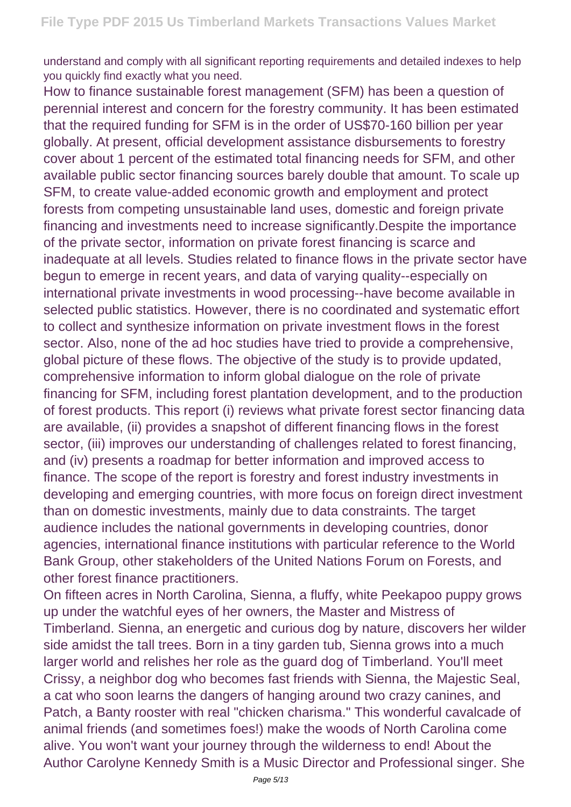understand and comply with all significant reporting requirements and detailed indexes to help you quickly find exactly what you need.

How to finance sustainable forest management (SFM) has been a question of perennial interest and concern for the forestry community. It has been estimated that the required funding for SFM is in the order of US\$70-160 billion per year globally. At present, official development assistance disbursements to forestry cover about 1 percent of the estimated total financing needs for SFM, and other available public sector financing sources barely double that amount. To scale up SFM, to create value-added economic growth and employment and protect forests from competing unsustainable land uses, domestic and foreign private financing and investments need to increase significantly.Despite the importance of the private sector, information on private forest financing is scarce and inadequate at all levels. Studies related to finance flows in the private sector have begun to emerge in recent years, and data of varying quality--especially on international private investments in wood processing--have become available in selected public statistics. However, there is no coordinated and systematic effort to collect and synthesize information on private investment flows in the forest sector. Also, none of the ad hoc studies have tried to provide a comprehensive, global picture of these flows. The objective of the study is to provide updated, comprehensive information to inform global dialogue on the role of private financing for SFM, including forest plantation development, and to the production of forest products. This report (i) reviews what private forest sector financing data are available, (ii) provides a snapshot of different financing flows in the forest sector, (iii) improves our understanding of challenges related to forest financing, and (iv) presents a roadmap for better information and improved access to finance. The scope of the report is forestry and forest industry investments in developing and emerging countries, with more focus on foreign direct investment than on domestic investments, mainly due to data constraints. The target audience includes the national governments in developing countries, donor agencies, international finance institutions with particular reference to the World Bank Group, other stakeholders of the United Nations Forum on Forests, and other forest finance practitioners.

On fifteen acres in North Carolina, Sienna, a fluffy, white Peekapoo puppy grows up under the watchful eyes of her owners, the Master and Mistress of Timberland. Sienna, an energetic and curious dog by nature, discovers her wilder side amidst the tall trees. Born in a tiny garden tub, Sienna grows into a much larger world and relishes her role as the guard dog of Timberland. You'll meet Crissy, a neighbor dog who becomes fast friends with Sienna, the Majestic Seal, a cat who soon learns the dangers of hanging around two crazy canines, and Patch, a Banty rooster with real "chicken charisma." This wonderful cavalcade of animal friends (and sometimes foes!) make the woods of North Carolina come alive. You won't want your journey through the wilderness to end! About the Author Carolyne Kennedy Smith is a Music Director and Professional singer. She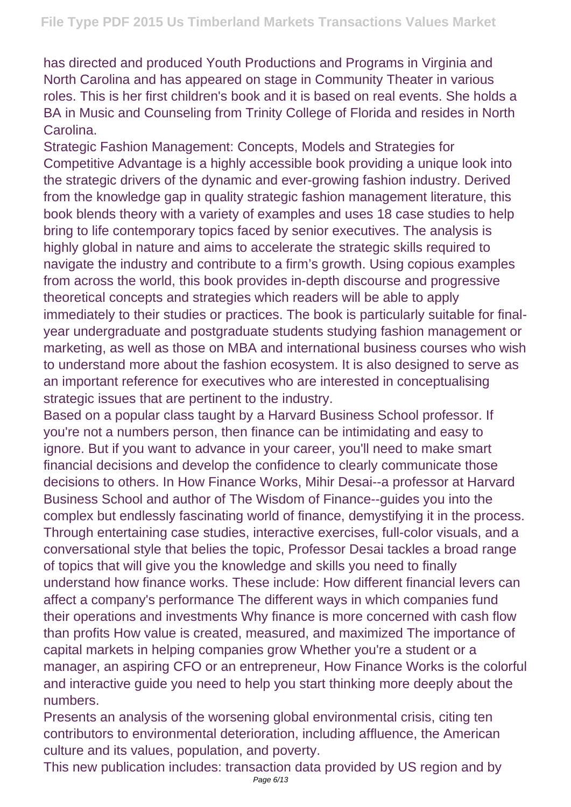has directed and produced Youth Productions and Programs in Virginia and North Carolina and has appeared on stage in Community Theater in various roles. This is her first children's book and it is based on real events. She holds a BA in Music and Counseling from Trinity College of Florida and resides in North **Carolina** 

Strategic Fashion Management: Concepts, Models and Strategies for Competitive Advantage is a highly accessible book providing a unique look into the strategic drivers of the dynamic and ever-growing fashion industry. Derived from the knowledge gap in quality strategic fashion management literature, this book blends theory with a variety of examples and uses 18 case studies to help bring to life contemporary topics faced by senior executives. The analysis is highly global in nature and aims to accelerate the strategic skills required to navigate the industry and contribute to a firm's growth. Using copious examples from across the world, this book provides in-depth discourse and progressive theoretical concepts and strategies which readers will be able to apply immediately to their studies or practices. The book is particularly suitable for finalyear undergraduate and postgraduate students studying fashion management or marketing, as well as those on MBA and international business courses who wish to understand more about the fashion ecosystem. It is also designed to serve as an important reference for executives who are interested in conceptualising strategic issues that are pertinent to the industry.

Based on a popular class taught by a Harvard Business School professor. If you're not a numbers person, then finance can be intimidating and easy to ignore. But if you want to advance in your career, you'll need to make smart financial decisions and develop the confidence to clearly communicate those decisions to others. In How Finance Works, Mihir Desai--a professor at Harvard Business School and author of The Wisdom of Finance--guides you into the complex but endlessly fascinating world of finance, demystifying it in the process. Through entertaining case studies, interactive exercises, full-color visuals, and a conversational style that belies the topic, Professor Desai tackles a broad range of topics that will give you the knowledge and skills you need to finally understand how finance works. These include: How different financial levers can affect a company's performance The different ways in which companies fund their operations and investments Why finance is more concerned with cash flow than profits How value is created, measured, and maximized The importance of capital markets in helping companies grow Whether you're a student or a manager, an aspiring CFO or an entrepreneur, How Finance Works is the colorful and interactive guide you need to help you start thinking more deeply about the numbers.

Presents an analysis of the worsening global environmental crisis, citing ten contributors to environmental deterioration, including affluence, the American culture and its values, population, and poverty.

This new publication includes: transaction data provided by US region and by Page 6/13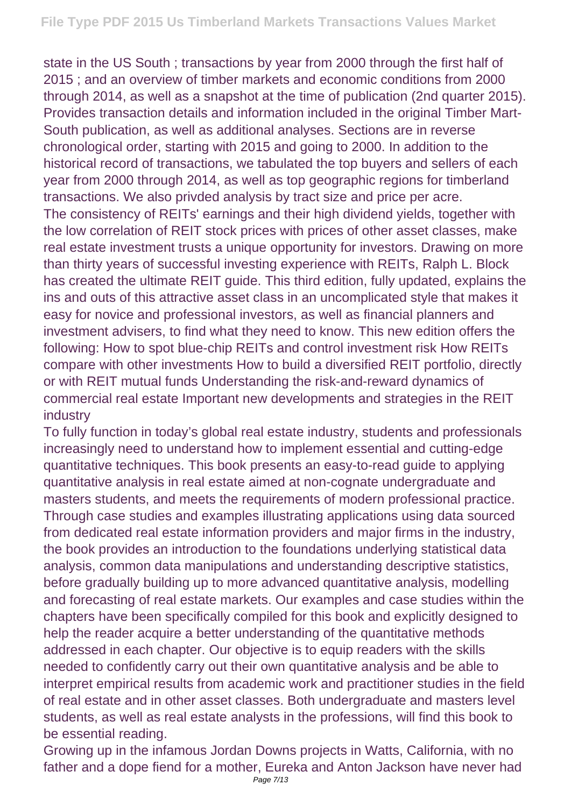state in the US South ; transactions by year from 2000 through the first half of 2015 ; and an overview of timber markets and economic conditions from 2000 through 2014, as well as a snapshot at the time of publication (2nd quarter 2015). Provides transaction details and information included in the original Timber Mart-South publication, as well as additional analyses. Sections are in reverse chronological order, starting with 2015 and going to 2000. In addition to the historical record of transactions, we tabulated the top buyers and sellers of each year from 2000 through 2014, as well as top geographic regions for timberland transactions. We also privded analysis by tract size and price per acre. The consistency of REITs' earnings and their high dividend yields, together with the low correlation of REIT stock prices with prices of other asset classes, make real estate investment trusts a unique opportunity for investors. Drawing on more than thirty years of successful investing experience with REITs, Ralph L. Block has created the ultimate REIT guide. This third edition, fully updated, explains the ins and outs of this attractive asset class in an uncomplicated style that makes it easy for novice and professional investors, as well as financial planners and investment advisers, to find what they need to know. This new edition offers the following: How to spot blue-chip REITs and control investment risk How REITs compare with other investments How to build a diversified REIT portfolio, directly or with REIT mutual funds Understanding the risk-and-reward dynamics of commercial real estate Important new developments and strategies in the REIT industry

To fully function in today's global real estate industry, students and professionals increasingly need to understand how to implement essential and cutting-edge quantitative techniques. This book presents an easy-to-read guide to applying quantitative analysis in real estate aimed at non-cognate undergraduate and masters students, and meets the requirements of modern professional practice. Through case studies and examples illustrating applications using data sourced from dedicated real estate information providers and major firms in the industry, the book provides an introduction to the foundations underlying statistical data analysis, common data manipulations and understanding descriptive statistics, before gradually building up to more advanced quantitative analysis, modelling and forecasting of real estate markets. Our examples and case studies within the chapters have been specifically compiled for this book and explicitly designed to help the reader acquire a better understanding of the quantitative methods addressed in each chapter. Our objective is to equip readers with the skills needed to confidently carry out their own quantitative analysis and be able to interpret empirical results from academic work and practitioner studies in the field of real estate and in other asset classes. Both undergraduate and masters level students, as well as real estate analysts in the professions, will find this book to be essential reading.

Growing up in the infamous Jordan Downs projects in Watts, California, with no father and a dope fiend for a mother, Eureka and Anton Jackson have never had Page 7/13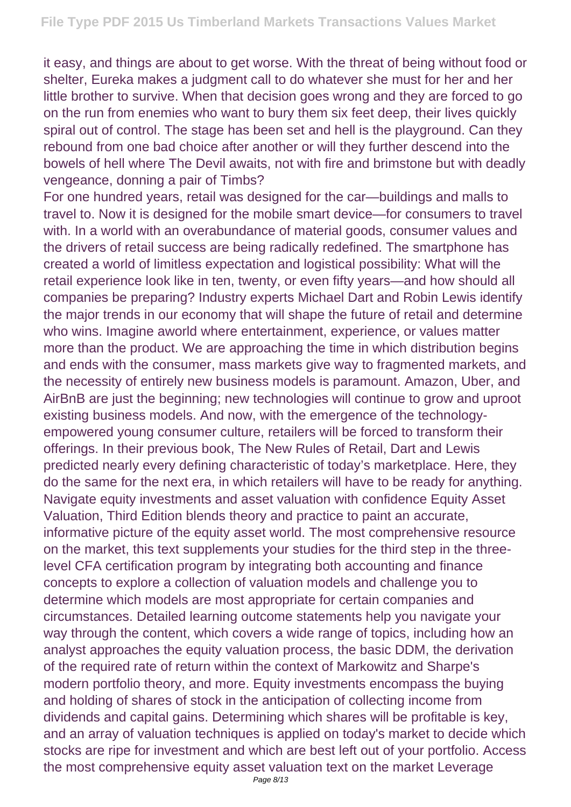it easy, and things are about to get worse. With the threat of being without food or shelter, Eureka makes a judgment call to do whatever she must for her and her little brother to survive. When that decision goes wrong and they are forced to go on the run from enemies who want to bury them six feet deep, their lives quickly spiral out of control. The stage has been set and hell is the playground. Can they rebound from one bad choice after another or will they further descend into the bowels of hell where The Devil awaits, not with fire and brimstone but with deadly vengeance, donning a pair of Timbs?

For one hundred years, retail was designed for the car—buildings and malls to travel to. Now it is designed for the mobile smart device—for consumers to travel with. In a world with an overabundance of material goods, consumer values and the drivers of retail success are being radically redefined. The smartphone has created a world of limitless expectation and logistical possibility: What will the retail experience look like in ten, twenty, or even fifty years—and how should all companies be preparing? Industry experts Michael Dart and Robin Lewis identify the major trends in our economy that will shape the future of retail and determine who wins. Imagine aworld where entertainment, experience, or values matter more than the product. We are approaching the time in which distribution begins and ends with the consumer, mass markets give way to fragmented markets, and the necessity of entirely new business models is paramount. Amazon, Uber, and AirBnB are just the beginning; new technologies will continue to grow and uproot existing business models. And now, with the emergence of the technologyempowered young consumer culture, retailers will be forced to transform their offerings. In their previous book, The New Rules of Retail, Dart and Lewis predicted nearly every defining characteristic of today's marketplace. Here, they do the same for the next era, in which retailers will have to be ready for anything. Navigate equity investments and asset valuation with confidence Equity Asset Valuation, Third Edition blends theory and practice to paint an accurate, informative picture of the equity asset world. The most comprehensive resource on the market, this text supplements your studies for the third step in the threelevel CFA certification program by integrating both accounting and finance concepts to explore a collection of valuation models and challenge you to determine which models are most appropriate for certain companies and circumstances. Detailed learning outcome statements help you navigate your way through the content, which covers a wide range of topics, including how an analyst approaches the equity valuation process, the basic DDM, the derivation of the required rate of return within the context of Markowitz and Sharpe's modern portfolio theory, and more. Equity investments encompass the buying and holding of shares of stock in the anticipation of collecting income from dividends and capital gains. Determining which shares will be profitable is key, and an array of valuation techniques is applied on today's market to decide which stocks are ripe for investment and which are best left out of your portfolio. Access the most comprehensive equity asset valuation text on the market Leverage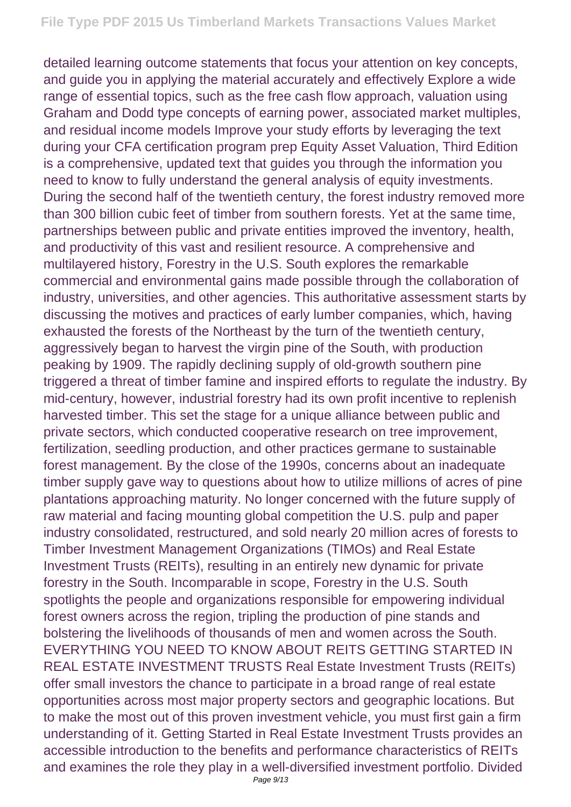detailed learning outcome statements that focus your attention on key concepts, and guide you in applying the material accurately and effectively Explore a wide range of essential topics, such as the free cash flow approach, valuation using Graham and Dodd type concepts of earning power, associated market multiples, and residual income models Improve your study efforts by leveraging the text during your CFA certification program prep Equity Asset Valuation, Third Edition is a comprehensive, updated text that guides you through the information you need to know to fully understand the general analysis of equity investments. During the second half of the twentieth century, the forest industry removed more than 300 billion cubic feet of timber from southern forests. Yet at the same time, partnerships between public and private entities improved the inventory, health, and productivity of this vast and resilient resource. A comprehensive and multilayered history, Forestry in the U.S. South explores the remarkable commercial and environmental gains made possible through the collaboration of industry, universities, and other agencies. This authoritative assessment starts by discussing the motives and practices of early lumber companies, which, having exhausted the forests of the Northeast by the turn of the twentieth century, aggressively began to harvest the virgin pine of the South, with production peaking by 1909. The rapidly declining supply of old-growth southern pine triggered a threat of timber famine and inspired efforts to regulate the industry. By mid-century, however, industrial forestry had its own profit incentive to replenish harvested timber. This set the stage for a unique alliance between public and private sectors, which conducted cooperative research on tree improvement, fertilization, seedling production, and other practices germane to sustainable forest management. By the close of the 1990s, concerns about an inadequate timber supply gave way to questions about how to utilize millions of acres of pine plantations approaching maturity. No longer concerned with the future supply of raw material and facing mounting global competition the U.S. pulp and paper industry consolidated, restructured, and sold nearly 20 million acres of forests to Timber Investment Management Organizations (TIMOs) and Real Estate Investment Trusts (REITs), resulting in an entirely new dynamic for private forestry in the South. Incomparable in scope, Forestry in the U.S. South spotlights the people and organizations responsible for empowering individual forest owners across the region, tripling the production of pine stands and bolstering the livelihoods of thousands of men and women across the South. EVERYTHING YOU NEED TO KNOW ABOUT REITS GETTING STARTED IN REAL ESTATE INVESTMENT TRUSTS Real Estate Investment Trusts (REITs) offer small investors the chance to participate in a broad range of real estate opportunities across most major property sectors and geographic locations. But to make the most out of this proven investment vehicle, you must first gain a firm understanding of it. Getting Started in Real Estate Investment Trusts provides an accessible introduction to the benefits and performance characteristics of REITs and examines the role they play in a well-diversified investment portfolio. Divided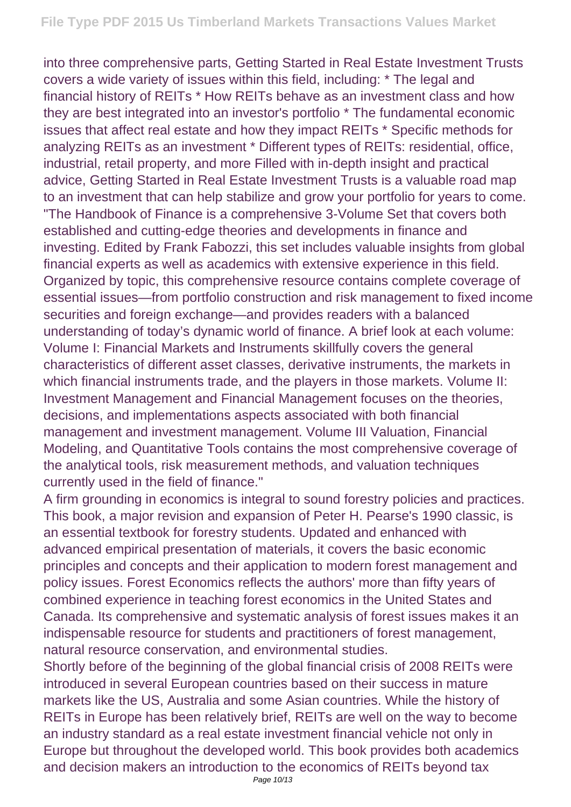into three comprehensive parts, Getting Started in Real Estate Investment Trusts covers a wide variety of issues within this field, including: \* The legal and financial history of REITs \* How REITs behave as an investment class and how they are best integrated into an investor's portfolio \* The fundamental economic issues that affect real estate and how they impact REITs \* Specific methods for analyzing REITs as an investment \* Different types of REITs: residential, office, industrial, retail property, and more Filled with in-depth insight and practical advice, Getting Started in Real Estate Investment Trusts is a valuable road map to an investment that can help stabilize and grow your portfolio for years to come. "The Handbook of Finance is a comprehensive 3-Volume Set that covers both established and cutting-edge theories and developments in finance and investing. Edited by Frank Fabozzi, this set includes valuable insights from global financial experts as well as academics with extensive experience in this field. Organized by topic, this comprehensive resource contains complete coverage of essential issues—from portfolio construction and risk management to fixed income securities and foreign exchange—and provides readers with a balanced understanding of today's dynamic world of finance. A brief look at each volume: Volume I: Financial Markets and Instruments skillfully covers the general characteristics of different asset classes, derivative instruments, the markets in which financial instruments trade, and the players in those markets. Volume II: Investment Management and Financial Management focuses on the theories, decisions, and implementations aspects associated with both financial management and investment management. Volume III Valuation, Financial Modeling, and Quantitative Tools contains the most comprehensive coverage of the analytical tools, risk measurement methods, and valuation techniques currently used in the field of finance."

A firm grounding in economics is integral to sound forestry policies and practices. This book, a major revision and expansion of Peter H. Pearse's 1990 classic, is an essential textbook for forestry students. Updated and enhanced with advanced empirical presentation of materials, it covers the basic economic principles and concepts and their application to modern forest management and policy issues. Forest Economics reflects the authors' more than fifty years of combined experience in teaching forest economics in the United States and Canada. Its comprehensive and systematic analysis of forest issues makes it an indispensable resource for students and practitioners of forest management, natural resource conservation, and environmental studies.

Shortly before of the beginning of the global financial crisis of 2008 REITs were introduced in several European countries based on their success in mature markets like the US, Australia and some Asian countries. While the history of REITs in Europe has been relatively brief, REITs are well on the way to become an industry standard as a real estate investment financial vehicle not only in Europe but throughout the developed world. This book provides both academics and decision makers an introduction to the economics of REITs beyond tax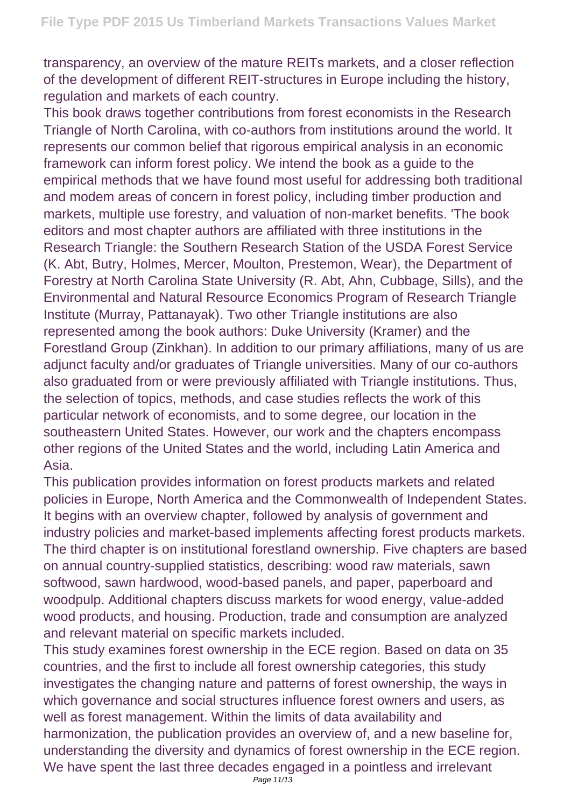transparency, an overview of the mature REITs markets, and a closer reflection of the development of different REIT-structures in Europe including the history, regulation and markets of each country.

This book draws together contributions from forest economists in the Research Triangle of North Carolina, with co-authors from institutions around the world. It represents our common belief that rigorous empirical analysis in an economic framework can inform forest policy. We intend the book as a guide to the empirical methods that we have found most useful for addressing both traditional and modem areas of concern in forest policy, including timber production and markets, multiple use forestry, and valuation of non-market benefits. 'The book editors and most chapter authors are affiliated with three institutions in the Research Triangle: the Southern Research Station of the USDA Forest Service (K. Abt, Butry, Holmes, Mercer, Moulton, Prestemon, Wear), the Department of Forestry at North Carolina State University (R. Abt, Ahn, Cubbage, Sills), and the Environmental and Natural Resource Economics Program of Research Triangle Institute (Murray, Pattanayak). Two other Triangle institutions are also represented among the book authors: Duke University (Kramer) and the Forestland Group (Zinkhan). In addition to our primary affiliations, many of us are adjunct faculty and/or graduates of Triangle universities. Many of our co-authors also graduated from or were previously affiliated with Triangle institutions. Thus, the selection of topics, methods, and case studies reflects the work of this particular network of economists, and to some degree, our location in the southeastern United States. However, our work and the chapters encompass other regions of the United States and the world, including Latin America and Asia.

This publication provides information on forest products markets and related policies in Europe, North America and the Commonwealth of Independent States. It begins with an overview chapter, followed by analysis of government and industry policies and market-based implements affecting forest products markets. The third chapter is on institutional forestland ownership. Five chapters are based on annual country-supplied statistics, describing: wood raw materials, sawn softwood, sawn hardwood, wood-based panels, and paper, paperboard and woodpulp. Additional chapters discuss markets for wood energy, value-added wood products, and housing. Production, trade and consumption are analyzed and relevant material on specific markets included.

This study examines forest ownership in the ECE region. Based on data on 35 countries, and the first to include all forest ownership categories, this study investigates the changing nature and patterns of forest ownership, the ways in which governance and social structures influence forest owners and users, as well as forest management. Within the limits of data availability and harmonization, the publication provides an overview of, and a new baseline for, understanding the diversity and dynamics of forest ownership in the ECE region. We have spent the last three decades engaged in a pointless and irrelevant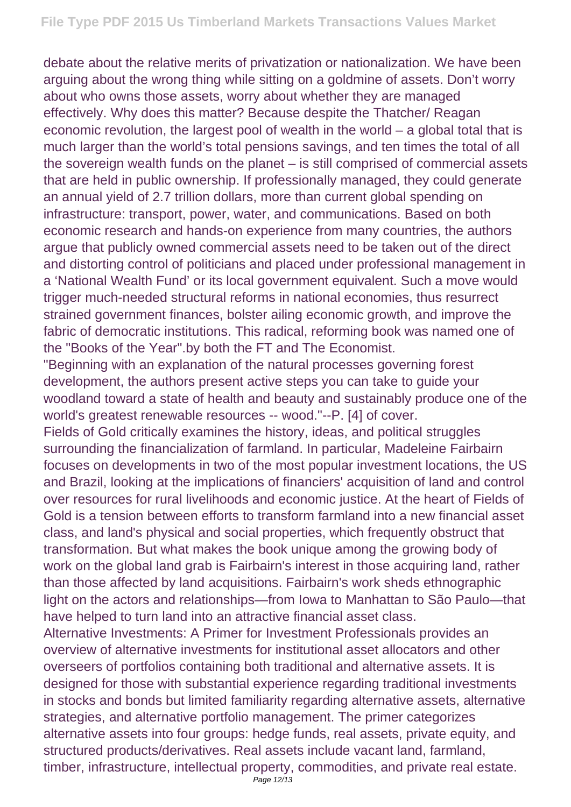debate about the relative merits of privatization or nationalization. We have been arguing about the wrong thing while sitting on a goldmine of assets. Don't worry about who owns those assets, worry about whether they are managed effectively. Why does this matter? Because despite the Thatcher/ Reagan economic revolution, the largest pool of wealth in the world – a global total that is much larger than the world's total pensions savings, and ten times the total of all the sovereign wealth funds on the planet – is still comprised of commercial assets that are held in public ownership. If professionally managed, they could generate an annual yield of 2.7 trillion dollars, more than current global spending on infrastructure: transport, power, water, and communications. Based on both economic research and hands-on experience from many countries, the authors argue that publicly owned commercial assets need to be taken out of the direct and distorting control of politicians and placed under professional management in a 'National Wealth Fund' or its local government equivalent. Such a move would trigger much-needed structural reforms in national economies, thus resurrect strained government finances, bolster ailing economic growth, and improve the fabric of democratic institutions. This radical, reforming book was named one of the "Books of the Year".by both the FT and The Economist.

"Beginning with an explanation of the natural processes governing forest development, the authors present active steps you can take to guide your woodland toward a state of health and beauty and sustainably produce one of the world's greatest renewable resources -- wood."--P. [4] of cover.

Fields of Gold critically examines the history, ideas, and political struggles surrounding the financialization of farmland. In particular, Madeleine Fairbairn focuses on developments in two of the most popular investment locations, the US and Brazil, looking at the implications of financiers' acquisition of land and control over resources for rural livelihoods and economic justice. At the heart of Fields of Gold is a tension between efforts to transform farmland into a new financial asset class, and land's physical and social properties, which frequently obstruct that transformation. But what makes the book unique among the growing body of work on the global land grab is Fairbairn's interest in those acquiring land, rather than those affected by land acquisitions. Fairbairn's work sheds ethnographic light on the actors and relationships—from Iowa to Manhattan to São Paulo—that have helped to turn land into an attractive financial asset class.

Alternative Investments: A Primer for Investment Professionals provides an overview of alternative investments for institutional asset allocators and other overseers of portfolios containing both traditional and alternative assets. It is designed for those with substantial experience regarding traditional investments in stocks and bonds but limited familiarity regarding alternative assets, alternative strategies, and alternative portfolio management. The primer categorizes alternative assets into four groups: hedge funds, real assets, private equity, and structured products/derivatives. Real assets include vacant land, farmland, timber, infrastructure, intellectual property, commodities, and private real estate.